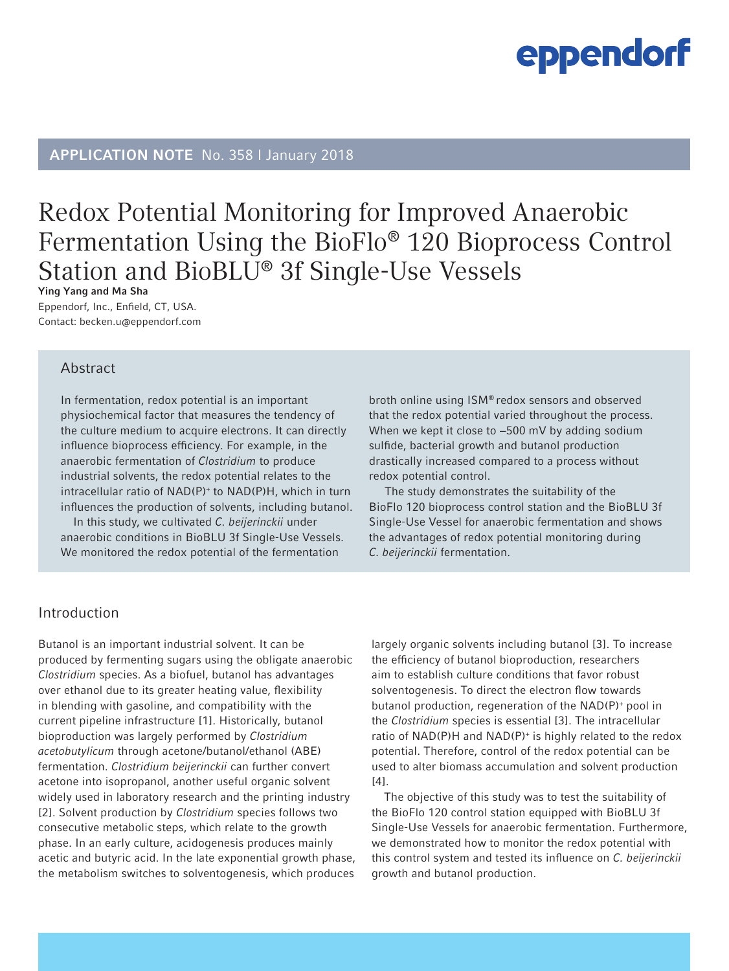# APPLICATION NOTE No. 358 I January 2018

# Redox Potential Monitoring for Improved Anaerobic Fermentation Using the BioFlo® 120 Bioprocess Control Station and BioBLU® 3f Single-Use Vessels

Ying Yang and Ma Sha Eppendorf, Inc., Enfield, CT, USA. Contact: becken.u@eppendorf.com

# Abstract

In fermentation, redox potential is an important physiochemical factor that measures the tendency of the culture medium to acquire electrons. It can directly influence bioprocess efficiency. For example, in the anaerobic fermentation of *Clostridium* to produce industrial solvents, the redox potential relates to the intracellular ratio of NAD(P)+ to NAD(P)H, which in turn influences the production of solvents, including butanol.

In this study, we cultivated *C. beijerinckii* under anaerobic conditions in BioBLU 3f Single-Use Vessels. We monitored the redox potential of the fermentation

broth online using ISM® redox sensors and observed that the redox potential varied throughout the process. When we kept it close to -500 mV by adding sodium sulfide, bacterial growth and butanol production drastically increased compared to a process without redox potential control.

 The study demonstrates the suitability of the BioFlo 120 bioprocess control station and the BioBLU 3f Single-Use Vessel for anaerobic fermentation and shows the advantages of redox potential monitoring during *C. beijerinckii* fermentation.

# Introduction

Butanol is an important industrial solvent. It can be produced by fermenting sugars using the obligate anaerobic *Clostridium* species. As a biofuel, butanol has advantages over ethanol due to its greater heating value, flexibility in blending with gasoline, and compatibility with the current pipeline infrastructure [1]. Historically, butanol bioproduction was largely performed by *Clostridium acetobutylicum* through acetone/butanol/ethanol (ABE) fermentation. *Clostridium beijerinckii* can further convert acetone into isopropanol, another useful organic solvent widely used in laboratory research and the printing industry [2]. Solvent production by *Clostridium* species follows two consecutive metabolic steps, which relate to the growth phase. In an early culture, acidogenesis produces mainly acetic and butyric acid. In the late exponential growth phase, the metabolism switches to solventogenesis, which produces largely organic solvents including butanol [3]. To increase the efficiency of butanol bioproduction, researchers aim to establish culture conditions that favor robust solventogenesis. To direct the electron flow towards butanol production, regeneration of the NAD(P)+ pool in the *Clostridium* species is essential [3]. The intracellular ratio of NAD(P)H and NAD(P)+ is highly related to the redox potential. Therefore, control of the redox potential can be used to alter biomass accumulation and solvent production [4].

The objective of this study was to test the suitability of the BioFlo 120 control station equipped with BioBLU 3f Single-Use Vessels for anaerobic fermentation. Furthermore, we demonstrated how to monitor the redox potential with this control system and tested its influence on *C. beijerinckii* growth and butanol production.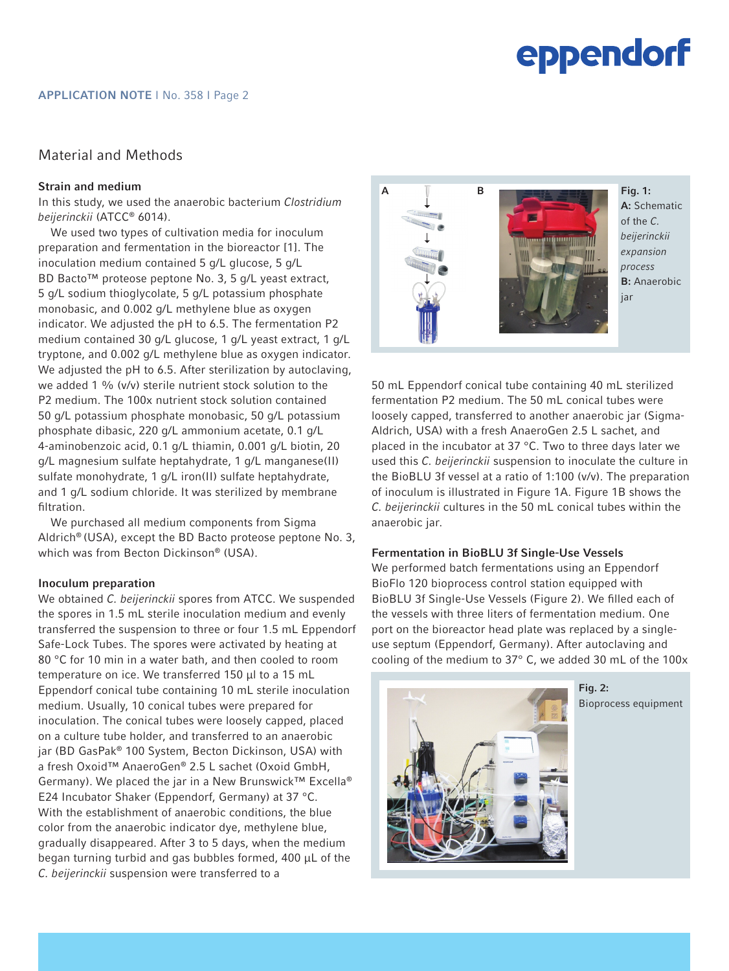# Material and Methods

## Strain and medium

In this study, we used the anaerobic bacterium *Clostridium beijerinckii* (ATCC® 6014).

We used two types of cultivation media for inoculum preparation and fermentation in the bioreactor [1]. The inoculation medium contained 5 g/L glucose, 5 g/L BD Bacto™ proteose peptone No. 3, 5 g/L yeast extract, 5 g/L sodium thioglycolate, 5 g/L potassium phosphate monobasic, and 0.002 g/L methylene blue as oxygen indicator. We adjusted the pH to 6.5. The fermentation P2 medium contained 30 g/L glucose, 1 g/L yeast extract, 1 g/L tryptone, and 0.002 g/L methylene blue as oxygen indicator. We adjusted the pH to 6.5. After sterilization by autoclaving, we added 1 % (v/v) sterile nutrient stock solution to the P2 medium. The 100x nutrient stock solution contained 50 g/L potassium phosphate monobasic, 50 g/L potassium phosphate dibasic, 220 g/L ammonium acetate, 0.1 g/L 4-aminobenzoic acid, 0.1 g/L thiamin, 0.001 g/L biotin, 20 g/L magnesium sulfate heptahydrate, 1 g/L manganese(II) sulfate monohydrate, 1 g/L iron(II) sulfate heptahydrate, and 1 g/L sodium chloride. It was sterilized by membrane filtration.

We purchased all medium components from Sigma Aldrich® (USA), except the BD Bacto proteose peptone No. 3, which was from Becton Dickinson® (USA).

### Inoculum preparation

We obtained *C. beijerinckii* spores from ATCC. We suspended the spores in 1.5 mL sterile inoculation medium and evenly transferred the suspension to three or four 1.5 mL Eppendorf Safe-Lock Tubes. The spores were activated by heating at 80 °C for 10 min in a water bath, and then cooled to room temperature on ice. We transferred 150 µl to a 15 mL Eppendorf conical tube containing 10 mL sterile inoculation medium. Usually, 10 conical tubes were prepared for inoculation. The conical tubes were loosely capped, placed on a culture tube holder, and transferred to an anaerobic jar (BD GasPak® 100 System, Becton Dickinson, USA) with a fresh Oxoid™ AnaeroGen® 2.5 L sachet (Oxoid GmbH, Germany). We placed the jar in a New Brunswick™ Excella® E24 Incubator Shaker (Eppendorf, Germany) at 37 °C. With the establishment of anaerobic conditions, the blue color from the anaerobic indicator dye, methylene blue, gradually disappeared. After 3 to 5 days, when the medium began turning turbid and gas bubbles formed, 400 µL of the *C. beijerinckii* suspension were transferred to a



50 mL Eppendorf conical tube containing 40 mL sterilized fermentation P2 medium. The 50 mL conical tubes were loosely capped, transferred to another anaerobic jar (Sigma-Aldrich, USA) with a fresh AnaeroGen 2.5 L sachet, and placed in the incubator at 37 °C. Two to three days later we used this *C. beijerinckii* suspension to inoculate the culture in the BioBLU 3f vessel at a ratio of 1:100 (v/v). The preparation of inoculum is illustrated in Figure 1A. Figure 1B shows the *C. beijerinckii* cultures in the 50 mL conical tubes within the anaerobic jar.

### Fermentation in BioBLU 3f Single-Use Vessels

We performed batch fermentations using an Eppendorf BioFlo 120 bioprocess control station equipped with BioBLU 3f Single-Use Vessels (Figure 2). We filled each of the vessels with three liters of fermentation medium. One port on the bioreactor head plate was replaced by a singleuse septum (Eppendorf, Germany). After autoclaving and cooling of the medium to 37° C, we added 30 mL of the 100x



Fig. 2: Bioprocess equipment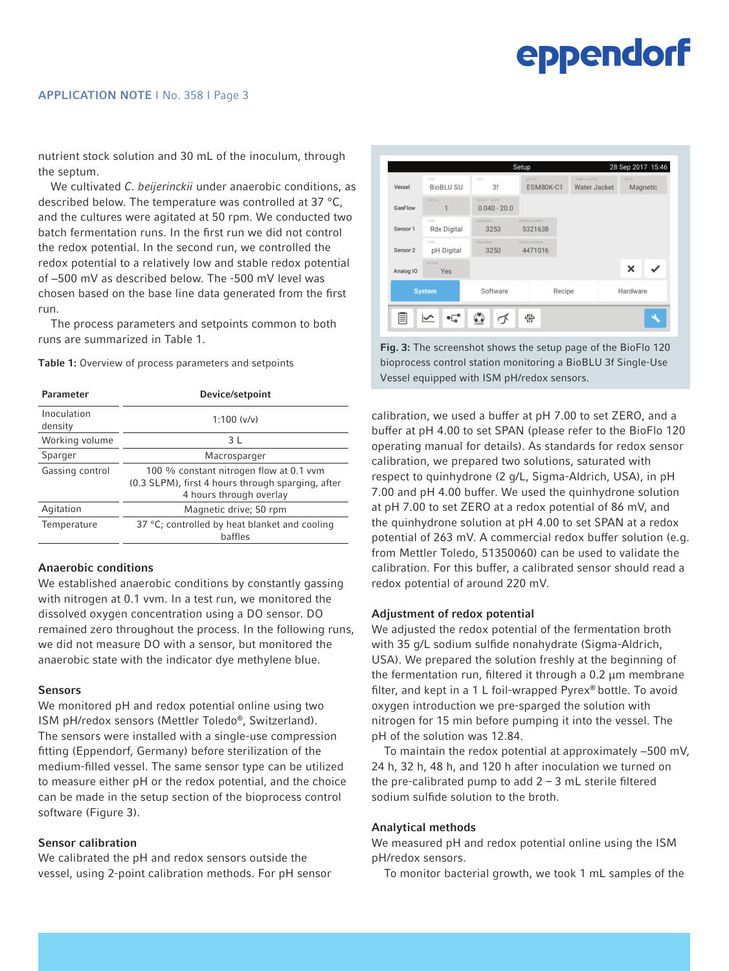#### APPLICATION NOTE I No. 358 I Page 3

nutrient stock solution and 30 mL of the inoculum, through the septum.

We cultivated *C. beijerinckii* under anaerobic conditions, as described below. The temperature was controlled at 37 °C, and the cultures were agitated at 50 rpm. We conducted two batch fermentation runs. In the first run we did not control the redox potential. In the second run, we controlled the redox potential to a relatively low and stable redox potential of −500 mV as described below. The -500 mV level was chosen based on the base line data generated from the first run.

The process parameters and setpoints common to both runs are summarized in Table 1.

Table 1: Overview of process parameters and setpoints

| <b>Parameter</b>       | Device/setpoint                                                                                                         |
|------------------------|-------------------------------------------------------------------------------------------------------------------------|
| Inoculation<br>density | 1:100 (v/v)                                                                                                             |
| Working volume         | 3 L                                                                                                                     |
| Sparger                | Macrosparger                                                                                                            |
| Gassing control        | 100 % constant nitrogen flow at 0.1 vvm<br>(0.3 SLPM), first 4 hours through sparging, after<br>4 hours through overlay |
| Agitation              | Magnetic drive; 50 rpm                                                                                                  |
| Temperature            | 37 °C; controlled by heat blanket and cooling<br>baffles                                                                |

### Anaerobic conditions

We established anaerobic conditions by constantly gassing with nitrogen at 0.1 vvm. In a test run, we monitored the dissolved oxygen concentration using a DO sensor. DO remained zero throughout the process. In the following runs, we did not measure DO with a sensor, but monitored the anaerobic state with the indicator dye methylene blue.

#### Sensors

We monitored pH and redox potential online using two ISM pH/redox sensors (Mettler Toledo®, Switzerland). The sensors were installed with a single-use compression fitting (Eppendorf, Germany) before sterilization of the medium-filled vessel. The same sensor type can be utilized to measure either pH or the redox potential, and the choice can be made in the setup section of the bioprocess control software (Figure 3).

### Sensor calibration

We calibrated the pH and redox sensors outside the vessel, using 2-point calibration methods. For pH sensor



Fig. 3: The screenshot shows the setup page of the BioFlo 120 bioprocess control station monitoring a BioBLU 3f Single-Use Vessel equipped with ISM pH/redox sensors.

calibration, we used a buffer at pH 7.00 to set ZERO, and a buffer at pH 4.00 to set SPAN (please refer to the BioFlo 120 operating manual for details). As standards for redox sensor calibration, we prepared two solutions, saturated with respect to quinhydrone (2 g/L, Sigma-Aldrich, USA), in pH 7.00 and pH 4.00 buffer. We used the quinhydrone solution at pH 7.00 to set ZERO at a redox potential of 86 mV, and the quinhydrone solution at pH 4.00 to set SPAN at a redox potential of 263 mV. A commercial redox buffer solution (e.g. from Mettler Toledo, 51350060) can be used to validate the calibration. For this buffer, a calibrated sensor should read a redox potential of around 220 mV.

### Adjustment of redox potential

We adjusted the redox potential of the fermentation broth with 35 g/L sodium sulfide nonahydrate (Sigma-Aldrich, USA). We prepared the solution freshly at the beginning of the fermentation run, filtered it through a 0.2 µm membrane filter, and kept in a 1 L foil-wrapped Pyrex® bottle. To avoid oxygen introduction we pre-sparged the solution with nitrogen for 15 min before pumping it into the vessel. The pH of the solution was 12.84.

To maintain the redox potential at approximately −500 mV, 24 h, 32 h, 48 h, and 120 h after inoculation we turned on the pre-calibrated pump to add  $2 - 3$  mL sterile filtered sodium sulfide solution to the broth.

# Analytical methods

We measured pH and redox potential online using the ISM pH/redox sensors.

To monitor bacterial growth, we took 1 mL samples of the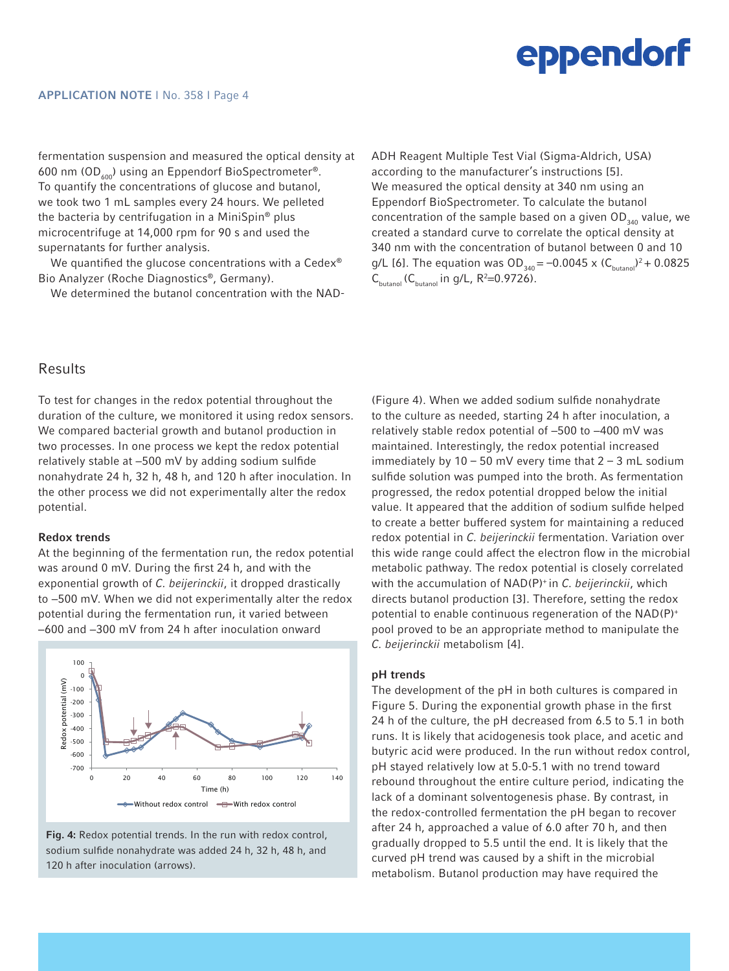fermentation suspension and measured the optical density at 600 nm (OD $_{600}$ ) using an Eppendorf BioSpectrometer®. To quantify the concentrations of glucose and butanol, we took two 1 mL samples every 24 hours. We pelleted the bacteria by centrifugation in a MiniSpin® plus microcentrifuge at 14,000 rpm for 90 s and used the supernatants for further analysis.

We quantified the glucose concentrations with a Cedex<sup>®</sup> Bio Analyzer (Roche Diagnostics®, Germany).

We determined the butanol concentration with the NAD-

ADH Reagent Multiple Test Vial (Sigma-Aldrich, USA) according to the manufacturer's instructions [5]. We measured the optical density at 340 nm using an Eppendorf BioSpectrometer. To calculate the butanol concentration of the sample based on a given  $OD_{340}$  value, we created a standard curve to correlate the optical density at 340 nm with the concentration of butanol between 0 and 10 g/L [6]. The equation was  $OD_{340} = -0.0045 \times (C_{bution})^2 + 0.0825$  $C_{\text{butanol}}$  ( $C_{\text{butanol}}$  in g/L, R<sup>2</sup>=0.9726).

# Results

To test for changes in the redox potential throughout the duration of the culture, we monitored it using redox sensors. We compared bacterial growth and butanol production in two processes. In one process we kept the redox potential relatively stable at −500 mV by adding sodium sulfide nonahydrate 24 h, 32 h, 48 h, and 120 h after inoculation. In the other process we did not experimentally alter the redox potential.

### Redox trends

At the beginning of the fermentation run, the redox potential was around 0 mV. During the first 24 h, and with the exponential growth of *C. beijerinckii*, it dropped drastically to −500 mV. When we did not experimentally alter the redox potential during the fermentation run, it varied between −600 and −300 mV from 24 h after inoculation onward



Fig. 4: Redox potential trends. In the run with redox control, sodium sulfide nonahydrate was added 24 h, 32 h, 48 h, and 120 h after inoculation (arrows).

(Figure 4). When we added sodium sulfide nonahydrate to the culture as needed, starting 24 h after inoculation, a relatively stable redox potential of −500 to −400 mV was maintained. Interestingly, the redox potential increased immediately by  $10 - 50$  mV every time that  $2 - 3$  mL sodium sulfide solution was pumped into the broth. As fermentation progressed, the redox potential dropped below the initial value. It appeared that the addition of sodium sulfide helped to create a better buffered system for maintaining a reduced redox potential in *C. beijerinckii* fermentation. Variation over this wide range could affect the electron flow in the microbial metabolic pathway. The redox potential is closely correlated with the accumulation of NAD(P)+ in *C. beijerinckii*, which directs butanol production [3]. Therefore, setting the redox potential to enable continuous regeneration of the NAD(P)+ pool proved to be an appropriate method to manipulate the *C. beijerinckii* metabolism [4].

### pH trends

The development of the pH in both cultures is compared in Figure 5. During the exponential growth phase in the first 24 h of the culture, the pH decreased from 6.5 to 5.1 in both runs. It is likely that acidogenesis took place, and acetic and butyric acid were produced. In the run without redox control, pH stayed relatively low at 5.0-5.1 with no trend toward rebound throughout the entire culture period, indicating the lack of a dominant solventogenesis phase. By contrast, in the redox-controlled fermentation the pH began to recover after 24 h, approached a value of 6.0 after 70 h, and then gradually dropped to 5.5 until the end. It is likely that the curved pH trend was caused by a shift in the microbial metabolism. Butanol production may have required the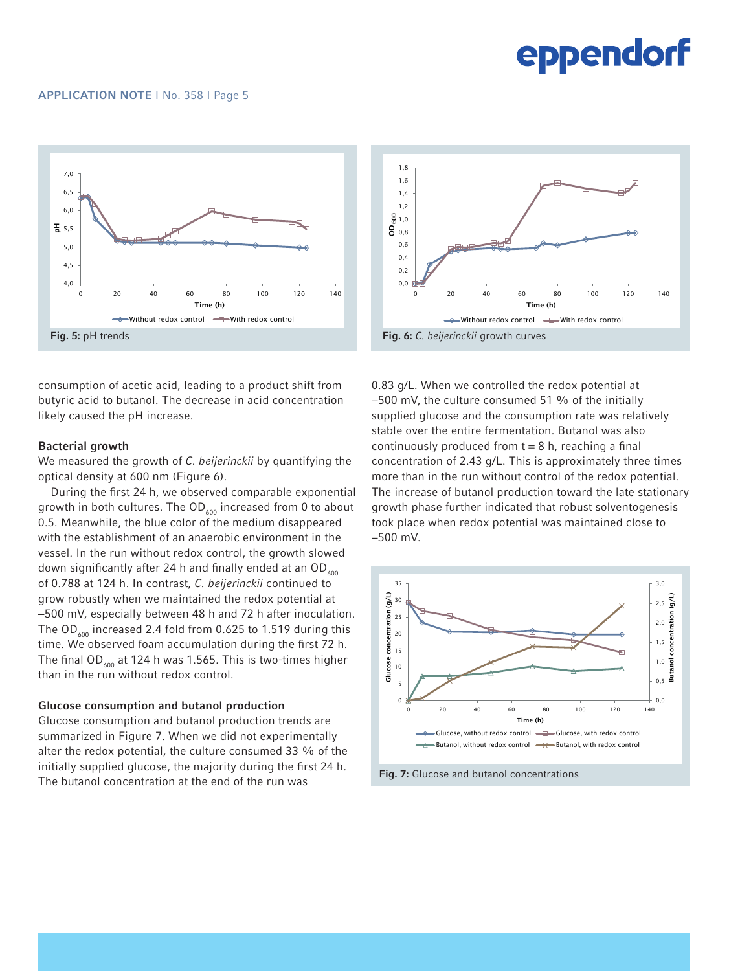### APPLICATION NOTE I No. 358 I Page 5



consumption of acetic acid, leading to a product shift from butyric acid to butanol. The decrease in acid concentration likely caused the pH increase.

### Bacterial growth

We measured the growth of *C. beijerinckii* by quantifying the optical density at 600 nm (Figure 6).

During the first 24 h, we observed comparable exponential growth in both cultures. The  $OD_{600}$  increased from 0 to about 0.5. Meanwhile, the blue color of the medium disappeared with the establishment of an anaerobic environment in the vessel. In the run without redox control, the growth slowed down significantly after 24 h and finally ended at an  $OD<sub>600</sub>$ of 0.788 at 124 h. In contrast, *C. beijerinckii* continued to grow robustly when we maintained the redox potential at −500 mV, especially between 48 h and 72 h after inoculation. The OD<sub> $\mu$ 00</sub> increased 2.4 fold from 0.625 to 1.519 during this time. We observed foam accumulation during the first 72 h. The final OD<sub>600</sub> at 124 h was 1.565. This is two-times higher than in the run without redox control.

#### Glucose consumption and butanol production

Glucose consumption and butanol production trends are summarized in Figure 7. When we did not experimentally alter the redox potential, the culture consumed 33 % of the initially supplied glucose, the majority during the first 24 h. The butanol concentration at the end of the run was



0.83 g/L. When we controlled the redox potential at −500 mV, the culture consumed 51 % of the initially supplied glucose and the consumption rate was relatively stable over the entire fermentation. Butanol was also continuously produced from  $t = 8$  h, reaching a final concentration of 2.43 g/L. This is approximately three times more than in the run without control of the redox potential. The increase of butanol production toward the late stationary growth phase further indicated that robust solventogenesis took place when redox potential was maintained close to −500 mV.



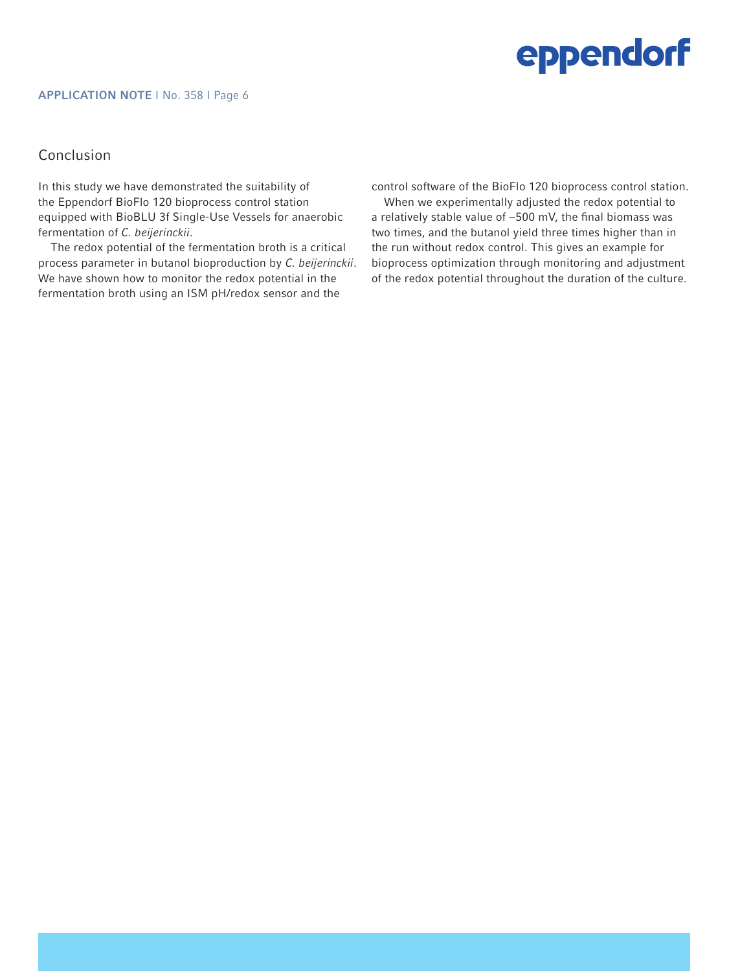### APPLICATION NOTE I No. 358 I Page 6

# Conclusion

In this study we have demonstrated the suitability of the Eppendorf BioFlo 120 bioprocess control station equipped with BioBLU 3f Single-Use Vessels for anaerobic fermentation of *C. beijerinckii*.

The redox potential of the fermentation broth is a critical process parameter in butanol bioproduction by *C. beijerinckii*. We have shown how to monitor the redox potential in the fermentation broth using an ISM pH/redox sensor and the

control software of the BioFlo 120 bioprocess control station.

When we experimentally adjusted the redox potential to a relatively stable value of −500 mV, the final biomass was two times, and the butanol yield three times higher than in the run without redox control. This gives an example for bioprocess optimization through monitoring and adjustment of the redox potential throughout the duration of the culture.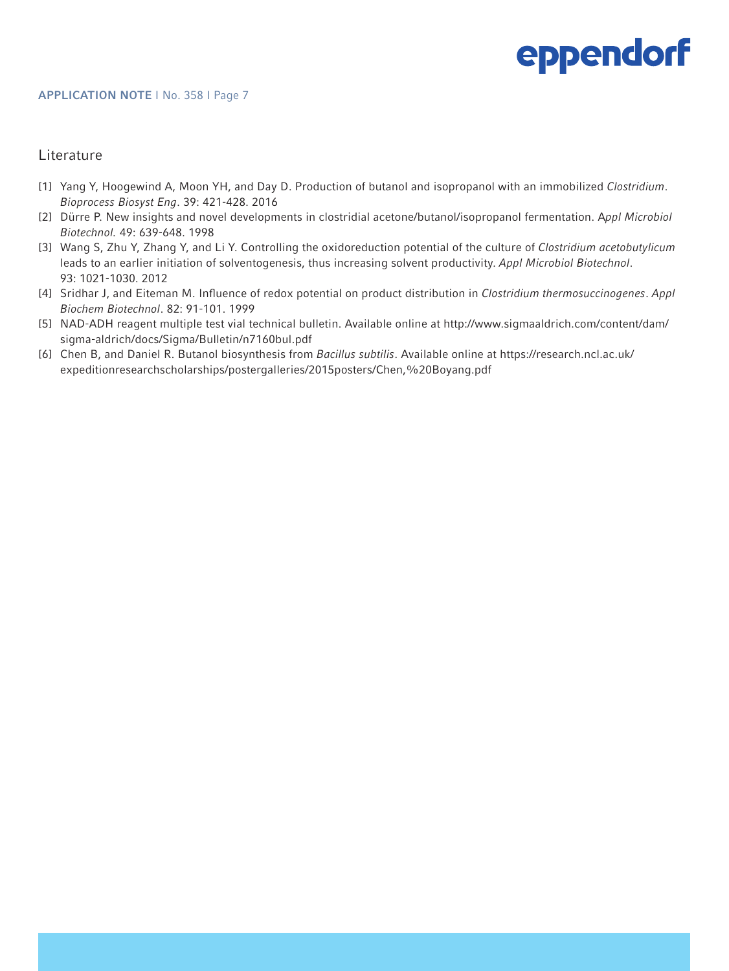# **Literature**

- [1] Yang Y, Hoogewind A, Moon YH, and Day D. Production of butanol and isopropanol with an immobilized *Clostridium*. *Bioprocess Biosyst Eng*. 39: 421-428. 2016
- [2] Dürre P. New insights and novel developments in clostridial acetone/butanol/isopropanol fermentation. A*ppl Microbiol Biotechnol.* 49: 639-648. 1998
- [3] Wang S, Zhu Y, Zhang Y, and Li Y. Controlling the oxidoreduction potential of the culture of *Clostridium acetobutylicum* leads to an earlier initiation of solventogenesis, thus increasing solvent productivity. *Appl Microbiol Biotechnol*. 93: 1021-1030. 2012
- [4] Sridhar J, and Eiteman M. Influence of redox potential on product distribution in *Clostridium thermosuccinogenes*. *Appl Biochem Biotechnol*. 82: 91-101. 1999
- [5] NAD-ADH reagent multiple test vial technical bulletin. Available online at http://www.sigmaaldrich.com/content/dam/ sigma-aldrich/docs/Sigma/Bulletin/n7160bul.pdf
- [6] Chen B, and Daniel R. Butanol biosynthesis from *Bacillus subtilis*. Available online at https://research.ncl.ac.uk/ expeditionresearchscholarships/postergalleries/2015posters/Chen,%20Boyang.pdf